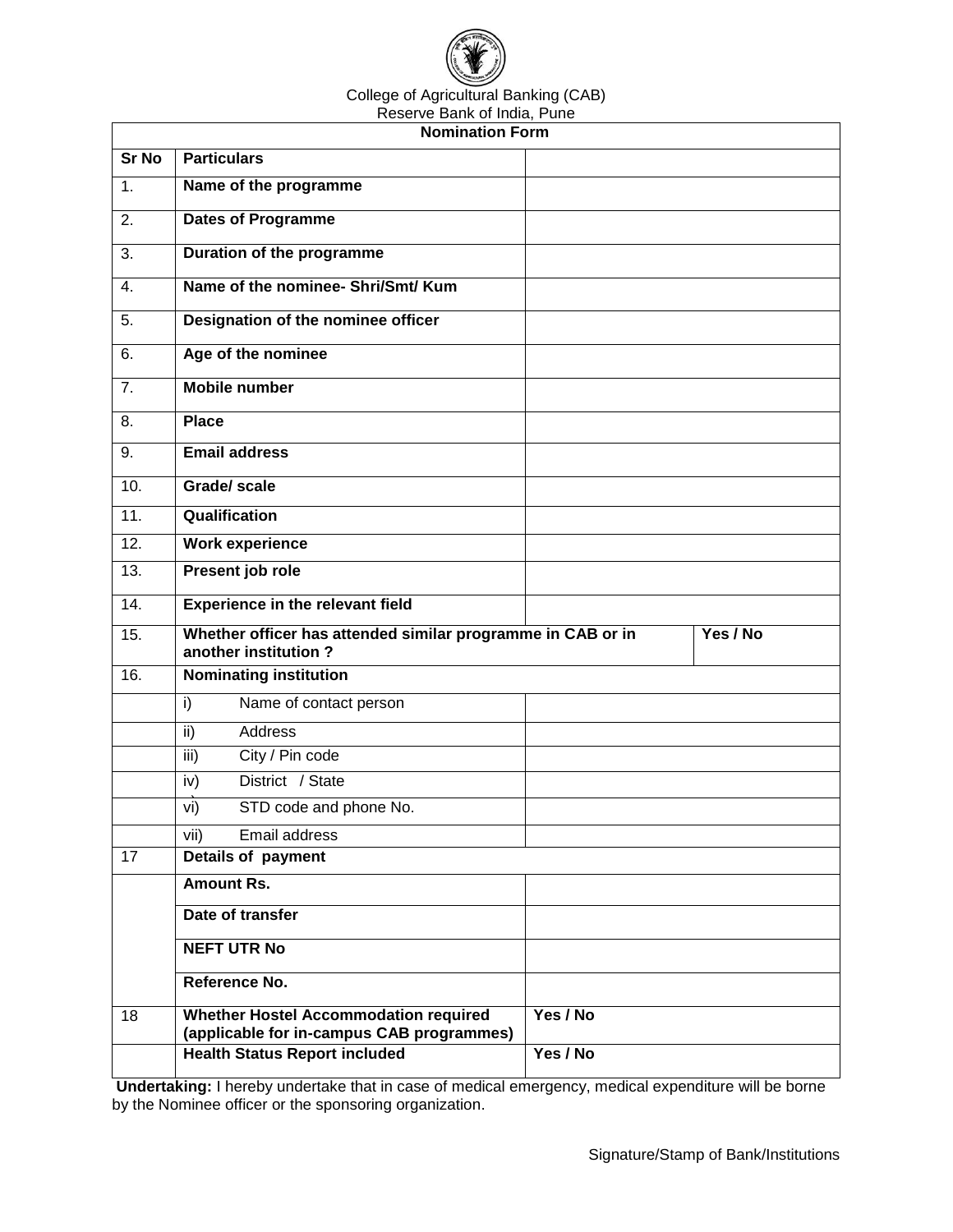

## College of Agricultural Banking (CAB)

| Reserve Bank of India, Pune |                                                                                           |          |          |  |
|-----------------------------|-------------------------------------------------------------------------------------------|----------|----------|--|
| <b>Nomination Form</b>      |                                                                                           |          |          |  |
| <b>Sr No</b>                | <b>Particulars</b>                                                                        |          |          |  |
| 1.                          | Name of the programme                                                                     |          |          |  |
| 2.                          | <b>Dates of Programme</b>                                                                 |          |          |  |
| 3.                          | Duration of the programme                                                                 |          |          |  |
| 4.                          | Name of the nominee- Shri/Smt/ Kum                                                        |          |          |  |
| 5.                          | Designation of the nominee officer                                                        |          |          |  |
| 6.                          | Age of the nominee                                                                        |          |          |  |
| 7.                          | <b>Mobile number</b>                                                                      |          |          |  |
| 8.                          | <b>Place</b>                                                                              |          |          |  |
| 9.                          | <b>Email address</b>                                                                      |          |          |  |
| 10.                         | <b>Grade/scale</b>                                                                        |          |          |  |
| $\overline{11}$ .           | Qualification                                                                             |          |          |  |
| 12.                         | <b>Work experience</b>                                                                    |          |          |  |
| 13.                         | Present job role                                                                          |          |          |  |
| 14.                         | <b>Experience in the relevant field</b>                                                   |          |          |  |
| 15.                         | Whether officer has attended similar programme in CAB or in<br>another institution?       |          | Yes / No |  |
| 16.                         | <b>Nominating institution</b>                                                             |          |          |  |
|                             | Name of contact person<br>i)                                                              |          |          |  |
|                             | <b>Address</b><br>ii)                                                                     |          |          |  |
|                             | iii)<br>City / Pin code                                                                   |          |          |  |
|                             | District / State<br>iv)                                                                   |          |          |  |
|                             | STD code and phone No.<br>vi)                                                             |          |          |  |
|                             | Email address<br>vii)                                                                     |          |          |  |
| 17                          | Details of payment                                                                        |          |          |  |
|                             | <b>Amount Rs.</b>                                                                         |          |          |  |
|                             | Date of transfer                                                                          |          |          |  |
|                             | <b>NEFT UTR No</b>                                                                        |          |          |  |
|                             | Reference No.                                                                             |          |          |  |
| 18                          | <b>Whether Hostel Accommodation required</b><br>(applicable for in-campus CAB programmes) | Yes / No |          |  |
|                             | <b>Health Status Report included</b>                                                      | Yes / No |          |  |

**Undertaking:** I hereby undertake that in case of medical emergency, medical expenditure will be borne by the Nominee officer or the sponsoring organization.